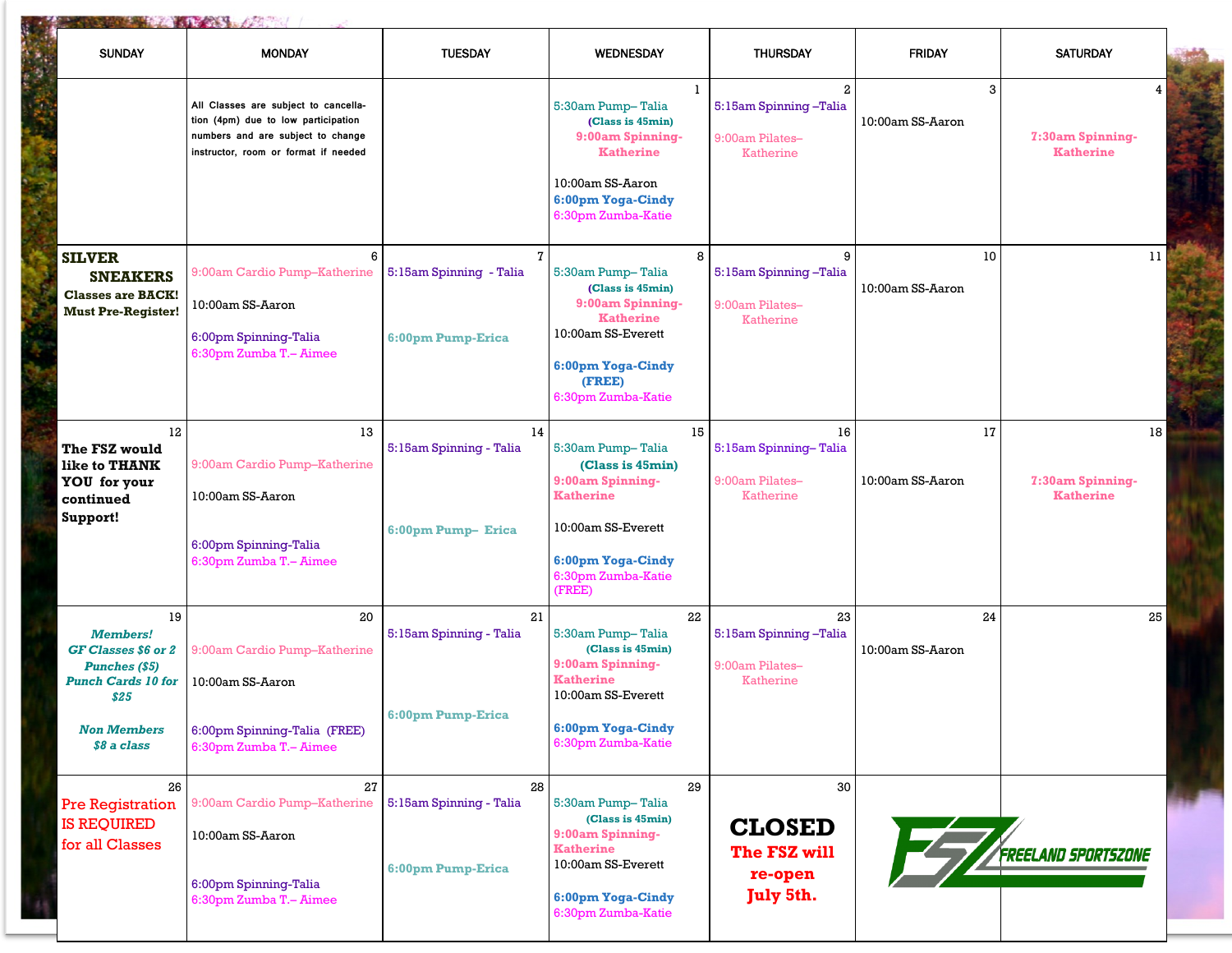| <b>SUNDAY</b>                                                                                                                                  | <b>MONDAY</b>                                                                                                                                            | <b>TUESDAY</b>                                               | <b>WEDNESDAY</b>                                                                                                                                               | <b>THURSDAY</b>                                                              | <b>FRIDAY</b>          | <b>SATURDAY</b>                            |
|------------------------------------------------------------------------------------------------------------------------------------------------|----------------------------------------------------------------------------------------------------------------------------------------------------------|--------------------------------------------------------------|----------------------------------------------------------------------------------------------------------------------------------------------------------------|------------------------------------------------------------------------------|------------------------|--------------------------------------------|
|                                                                                                                                                | All Classes are subject to cancella-<br>tion (4pm) due to low participation<br>numbers and are subject to change<br>instructor, room or format if needed |                                                              | 1<br>5:30am Pump-Talia<br>(Class is 45min)<br>9:00am Spinning-<br><b>Katherine</b>                                                                             | $\mathbf{2}$<br>5:15am Spinning-Talia<br>9:00am Pilates-<br><b>Katherine</b> | 3<br>10:00am SS-Aaron  | 4<br>7:30am Spinning-<br><b>Katherine</b>  |
|                                                                                                                                                |                                                                                                                                                          |                                                              | 10:00am SS-Aaron<br>6:00pm Yoga-Cindy<br>6:30pm Zumba-Katie                                                                                                    |                                                                              |                        |                                            |
| <b>SILVER</b><br><b>SNEAKERS</b><br><b>Classes are BACK!</b><br><b>Must Pre-Register!</b>                                                      | 6<br>9:00am Cardio Pump-Katherine<br>10:00am SS-Aaron<br>6:00pm Spinning-Talia<br>6:30pm Zumba T.- Aimee                                                 | $\mathbf{7}$<br>5:15am Spinning - Talia<br>6:00pm Pump-Erica | 8<br>5:30am Pump-Talia<br>(Class is 45min)<br>9:00am Spinning-<br><b>Katherine</b><br>10:00am SS-Everett<br>6:00pm Yoga-Cindy<br>(FREE)<br>6:30pm Zumba-Katie  | 9<br>5:15am Spinning-Talia<br>9:00am Pilates-<br><b>Katherine</b>            | 10<br>10:00am SS-Aaron | 11                                         |
| $12 \,$<br>The FSZ would<br>like to THANK<br><b>YOU</b> for your<br>continued<br>Support!                                                      | 13<br>9:00am Cardio Pump-Katherine<br>10:00am SS-Aaron<br>6:00pm Spinning-Talia<br>6:30pm Zumba T.- Aimee                                                | 14<br>5:15am Spinning - Talia<br>6:00pm Pump- Erica          | 15<br>5:30am Pump-Talia<br>(Class is 45min)<br>9:00am Spinning-<br><b>Katherine</b><br>10:00am SS-Everett<br>6:00pm Yoga-Cindy<br>6:30pm Zumba-Katie<br>(FREE) | 16<br>5:15am Spinning-Talia<br>9:00am Pilates-<br>Katherine                  | 17<br>10:00am SS-Aaron | 18<br>7:30am Spinning-<br><b>Katherine</b> |
| 19<br><b>Members!</b><br>GF Classes \$6 or 2<br><b>Punches (\$5)</b><br><b>Punch Cards 10 for</b><br>\$25<br><b>Non Members</b><br>\$8 a class | 20<br>9:00am Cardio Pump-Katherine<br>10:00am SS-Aaron<br>6:00pm Spinning-Talia (FREE)<br>6:30pm Zumba T.- Aimee                                         | 21<br>5:15am Spinning - Talia<br>6:00pm Pump-Erica           | 22<br>5:30am Pump-Talia<br>(Class is 45min)<br>9:00am Spinning-<br><b>Katherine</b><br>10:00am SS-Everett<br>6:00pm Yoga-Cindy<br>6:30pm Zumba-Katie           | 23<br>5:15am Spinning-Talia<br>9:00am Pilates-<br>Katherine                  | 24<br>10:00am SS-Aaron | 25                                         |
| 26<br><b>Pre Registration</b><br><b>IS REQUIRED</b><br>for all Classes                                                                         | 27<br>9:00am Cardio Pump-Katherine<br>10:00am SS-Aaron<br>6:00pm Spinning-Talia<br>6:30pm Zumba T.- Aimee                                                | 28<br>5:15am Spinning - Talia<br>6:00pm Pump-Erica           | 29<br>5:30am Pump-Talia<br>(Class is 45min)<br>9:00am Spinning-<br><b>Katherine</b><br>10:00am SS-Everett<br>6:00pm Yoga-Cindy<br>6:30pm Zumba-Katie           | 30<br><b>CLOSED</b><br>The FSZ will<br>re-open<br>July 5th.                  |                        | <b>FREELAND SPORTSZONE</b>                 |